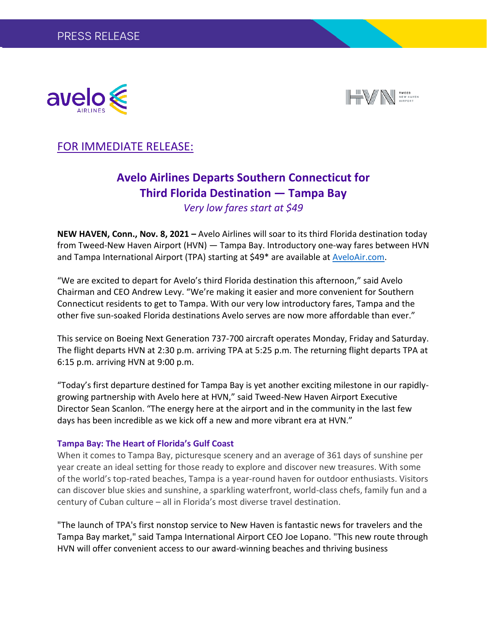



## FOR IMMEDIATE RELEASE:

# **Avelo Airlines Departs Southern Connecticut for Third Florida Destination — Tampa Bay**

*Very low fares start at \$49*

**NEW HAVEN, Conn., Nov. 8, 2021 –** Avelo Airlines will soar to its third Florida destination today from Tweed-New Haven Airport (HVN) — Tampa Bay. Introductory one-way fares between HVN and Tampa International Airport (TPA) starting at \$49\* are available at [AveloAir.com.](http://www.aveloair.com/)

"We are excited to depart for Avelo's third Florida destination this afternoon," said Avelo Chairman and CEO Andrew Levy. "We're making it easier and more convenient for Southern Connecticut residents to get to Tampa. With our very low introductory fares, Tampa and the other five sun-soaked Florida destinations Avelo serves are now more affordable than ever."

This service on Boeing Next Generation 737-700 aircraft operates Monday, Friday and Saturday. The flight departs HVN at 2:30 p.m. arriving TPA at 5:25 p.m. The returning flight departs TPA at 6:15 p.m. arriving HVN at 9:00 p.m.

"Today's first departure destined for Tampa Bay is yet another exciting milestone in our rapidlygrowing partnership with Avelo here at HVN," said Tweed-New Haven Airport Executive Director Sean Scanlon. "The energy here at the airport and in the community in the last few days has been incredible as we kick off a new and more vibrant era at HVN."

#### **Tampa Bay: The Heart of Florida's Gulf Coast**

When it comes to Tampa Bay, picturesque scenery and an average of 361 days of sunshine per year create an ideal setting for those ready to explore and discover new treasures. With some of the world's top-rated beaches, Tampa is a year-round haven for outdoor enthusiasts. Visitors can discover blue skies and sunshine, a sparkling waterfront, world-class chefs, family fun and a century of Cuban culture – all in Florida's most diverse travel destination.

"The launch of TPA's first nonstop service to New Haven is fantastic news for travelers and the Tampa Bay market," said Tampa International Airport CEO Joe Lopano. "This new route through HVN will offer convenient access to our award-winning beaches and thriving business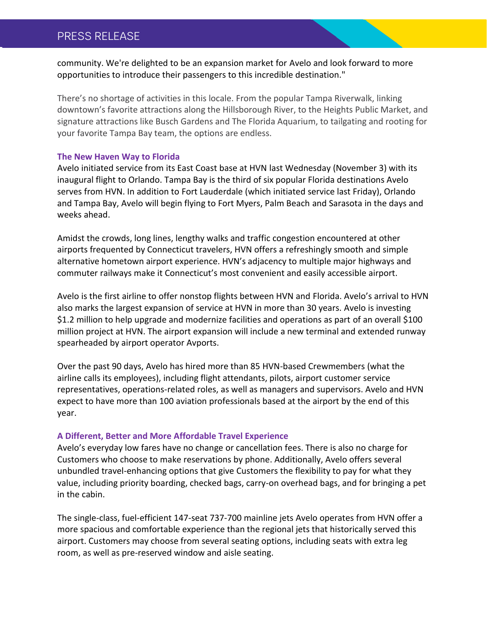## PRESS RELEASE

community. We're delighted to be an expansion market for Avelo and look forward to more opportunities to introduce their passengers to this incredible destination."

There's no shortage of activities in this locale. From the popular Tampa Riverwalk, linking downtown's favorite attractions along the Hillsborough River, to the Heights Public Market, and signature attractions like Busch Gardens and The Florida Aquarium, to tailgating and rooting for your favorite Tampa Bay team, the options are endless.

#### **The New Haven Way to Florida**

Avelo initiated service from its East Coast base at HVN last Wednesday (November 3) with its inaugural flight to Orlando. Tampa Bay is the third of six popular Florida destinations Avelo serves from HVN. In addition to Fort Lauderdale (which initiated service last Friday), Orlando and Tampa Bay, Avelo will begin flying to Fort Myers, Palm Beach and Sarasota in the days and weeks ahead.

Amidst the crowds, long lines, lengthy walks and traffic congestion encountered at other airports frequented by Connecticut travelers, HVN offers a refreshingly smooth and simple alternative hometown airport experience. HVN's adjacency to multiple major highways and commuter railways make it Connecticut's most convenient and easily accessible airport.

Avelo is the first airline to offer nonstop flights between HVN and Florida. Avelo's arrival to HVN also marks the largest expansion of service at HVN in more than 30 years. Avelo is investing \$1.2 million to help upgrade and modernize facilities and operations as part of an overall \$100 million project at HVN. The airport expansion will include a new terminal and extended runway spearheaded by airport operator Avports.

Over the past 90 days, Avelo has hired more than 85 HVN-based Crewmembers (what the airline calls its employees), including flight attendants, pilots, airport customer service representatives, operations-related roles, as well as managers and supervisors. Avelo and HVN expect to have more than 100 aviation professionals based at the airport by the end of this year.

#### **A Different, Better and More Affordable Travel Experience**

Avelo's everyday low fares have no change or cancellation fees. There is also no charge for Customers who choose to make reservations by phone. Additionally, Avelo offers several unbundled travel-enhancing options that give Customers the flexibility to pay for what they value, including priority boarding, checked bags, carry-on overhead bags, and for bringing a pet in the cabin.

The single-class, fuel-efficient 147-seat 737-700 mainline jets Avelo operates from HVN offer a more spacious and comfortable experience than the regional jets that historically served this airport. Customers may choose from several seating options, including seats with extra leg room, as well as pre-reserved window and aisle seating.